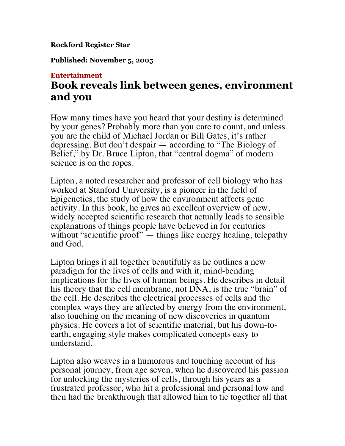## **Rockford Register Star**

**Published: November 5, 2005**

## **Entertainment**

## **Book reveals link between genes, environment and you**

How many times have you heard that your destiny is determined by your genes? Probably more than you care to count, and unless you are the child of Michael Jordan or Bill Gates, it's rather depressing. But don't despair — according to "The Biology of Belief," by Dr. Bruce Lipton, that "central dogma" of modern science is on the ropes.

Lipton, a noted researcher and professor of cell biology who has worked at Stanford University, is a pioneer in the field of Epigenetics, the study of how the environment affects gene activity. In this book, he gives an excellent overview of new, widely accepted scientific research that actually leads to sensible explanations of things people have believed in for centuries without "scientific proof" — things like energy healing, telepathy and God.

Lipton brings it all together beautifully as he outlines a new paradigm for the lives of cells and with it, mind-bending implications for the lives of human beings. He describes in detail his theory that the cell membrane, not DNA, is the true "brain" of the cell. He describes the electrical processes of cells and the complex ways they are affected by energy from the environment, also touching on the meaning of new discoveries in quantum physics. He covers a lot of scientific material, but his down-toearth, engaging style makes complicated concepts easy to understand.

Lipton also weaves in a humorous and touching account of his personal journey, from age seven, when he discovered his passion for unlocking the mysteries of cells, through his years as a frustrated professor, who hit a professional and personal low and then had the breakthrough that allowed him to tie together all that